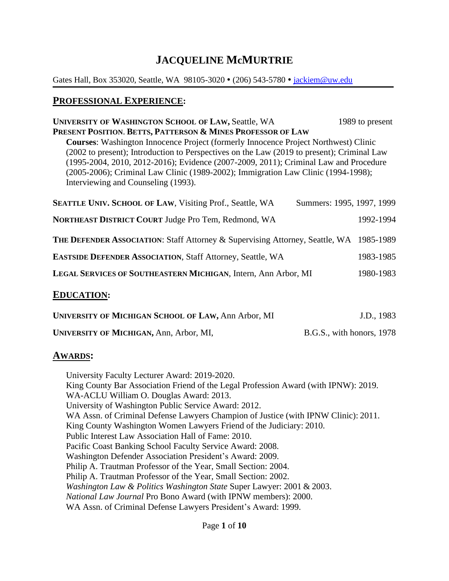# **JACQUELINE McMURTRIE**

Gates Hall, Box 353020, Seattle, WA 98105-3020 • (206) 543-5780 • [jackiem@uw.edu](mailto:jackiem@uw.edu)

#### **PROFESSIONAL EXPERIENCE:**

| <b>UNIVERSITY OF WASHINGTON SCHOOL OF LAW, Seattle, WA</b><br>PRESENT POSITION. BETTS, PATTERSON & MINES PROFESSOR OF LAW<br><b>Courses:</b> Washington Innocence Project (formerly Innocence Project Northwest) Clinic<br>(2002 to present); Introduction to Perspectives on the Law (2019 to present); Criminal Law<br>(1995-2004, 2010, 2012-2016); Evidence (2007-2009, 2011); Criminal Law and Procedure<br>(2005-2006); Criminal Law Clinic (1989-2002); Immigration Law Clinic (1994-1998);<br>Interviewing and Counseling (1993). | 1989 to present        |
|-------------------------------------------------------------------------------------------------------------------------------------------------------------------------------------------------------------------------------------------------------------------------------------------------------------------------------------------------------------------------------------------------------------------------------------------------------------------------------------------------------------------------------------------|------------------------|
| <b>SEATTLE UNIV. SCHOOL OF LAW, Visiting Prof., Seattle, WA</b><br>Summers: 1995, 1997, 1999                                                                                                                                                                                                                                                                                                                                                                                                                                              |                        |
| <b>NORTHEAST DISTRICT COURT Judge Pro Tem, Redmond, WA</b><br><b>THE DEFENDER ASSOCIATION: Staff Attorney &amp; Supervising Attorney, Seattle, WA</b>                                                                                                                                                                                                                                                                                                                                                                                     | 1992-1994<br>1985-1989 |
| <b>EASTSIDE DEFENDER ASSOCIATION, Staff Attorney, Seattle, WA</b>                                                                                                                                                                                                                                                                                                                                                                                                                                                                         | 1983-1985              |
| LEGAL SERVICES OF SOUTHEASTERN MICHIGAN, Intern, Ann Arbor, MI                                                                                                                                                                                                                                                                                                                                                                                                                                                                            | 1980-1983              |
| <b>EDUCATION:</b>                                                                                                                                                                                                                                                                                                                                                                                                                                                                                                                         |                        |

| UNIVERSITY OF MICHIGAN SCHOOL OF LAW, Ann Arbor, MI | J.D., 1983                |
|-----------------------------------------------------|---------------------------|
| UNIVERSITY OF MICHIGAN, Ann, Arbor, MI,             | B.G.S., with honors, 1978 |

#### **AWARDS:**

University Faculty Lecturer Award: 2019-2020. King County Bar Association Friend of the Legal Profession Award (with IPNW): 2019. WA-ACLU William O. Douglas Award: 2013. University of Washington Public Service Award: 2012. WA Assn. of Criminal Defense Lawyers Champion of Justice (with IPNW Clinic): 2011. King County Washington Women Lawyers Friend of the Judiciary: 2010. Public Interest Law Association Hall of Fame: 2010. Pacific Coast Banking School Faculty Service Award: 2008. Washington Defender Association President's Award: 2009. Philip A. Trautman Professor of the Year, Small Section: 2004. Philip A. Trautman Professor of the Year, Small Section: 2002. *Washington Law & Politics Washington State* Super Lawyer: 2001 & 2003. *National Law Journal* Pro Bono Award (with IPNW members): 2000. WA Assn. of Criminal Defense Lawyers President's Award: 1999.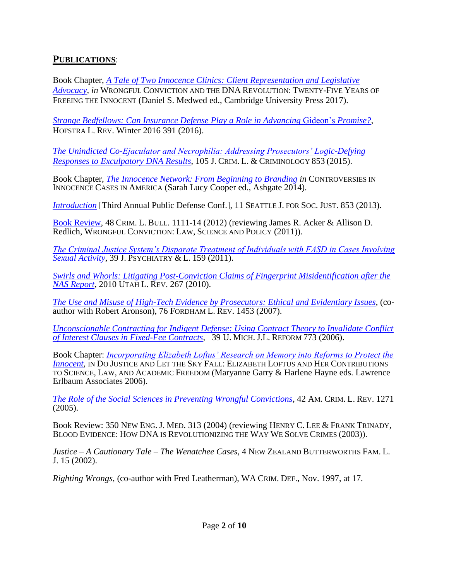#### **PUBLICATIONS**:

Book Chapter, *[A Tale of Two Innocence Clinics: Client Representation and Legislative](https://papers.ssrn.com/sol3/papers.cfm?abstract_id=3171228)  [Advocacy,](https://papers.ssrn.com/sol3/papers.cfm?abstract_id=3171228) in* WRONGFUL CONVICTION AND THE DNA REVOLUTION: TWENTY-FIVE YEARS OF FREEING THE INNOCENT (Daniel S. Medwed ed., Cambridge University Press 2017).

*[Strange Bedfellows: Can Insurance Defense](https://papers.ssrn.com/sol3/papers.cfm?abstract_id=3152707) Play a Role in Advancing* Gideon's *Promise?*, HOFSTRA L. REV. Winter 2016 391 (2016).

*[The Unindicted Co-Ejaculator and Necrophilia: Addressing Prosecutors' Logic-Defying](http://scholarlycommons.law.northwestern.edu/jclc/vol105/iss4/4/)  [Responses to Exculpatory DNA Results](http://scholarlycommons.law.northwestern.edu/jclc/vol105/iss4/4/)*, 105 J. CRIM. L. & CRIMINOLOGY 853 (2015).

Book Chapter, *[The Innocence Network: From Beginning to Branding](https://papers.ssrn.com/sol3/papers.cfm?abstract_id=3152701) in* CONTROVERSIES IN INNOCENCE CASES IN AMERICA (Sarah Lucy Cooper ed., Ashgate 2014).

*[Introduction](http://ssrn.com/abstract=2405094)* [Third Annual Public Defense Conf.], 11 SEATTLE J. FOR SOC. JUST. 853 (2013).

[Book Review,](https://papers.ssrn.com/sol3/papers.cfm?abstract_id=2424109) 48 CRIM. L. BULL. 1111-14 (2012) (reviewing James R. Acker & Allison D. Redlich, WRONGFUL CONVICTION: LAW, SCIENCE AND POLICY (2011)).

*[The Criminal Justice System's Disparate Treatment of Individuals with FASD in Cases Involving](https://papers.ssrn.com/sol3/papers.cfm?abstract_id=2424310)  [Sexual Activity](https://papers.ssrn.com/sol3/papers.cfm?abstract_id=2424310)*, 39 J. PSYCHIATRY & L. 159 (2011).

*[Swirls and Whorls: Litigating Post-Conviction Claims of Fingerprint Misidentification after the](http://ssrn.com/abstract=2405096)  [NAS Report,](http://ssrn.com/abstract=2405096)* 2010 UTAH L. REV. 267 (2010).

*[The Use and Misuse of High-Tech Evidence by Prosecutors: Ethical and Evidentiary Issues](http://ssrn.com/abstract=2411583)*, (coauthor with Robert Aronson), 76 FORDHAM L. REV. 1453 (2007).

*[Unconscionable Contracting for Indigent Defense: Using Contract Theory to Invalidate Conflict](https://papers.ssrn.com/sol3/papers.cfm?abstract_id=2423535)  [of Interest Clauses in Fixed-Fee Contracts,](https://papers.ssrn.com/sol3/papers.cfm?abstract_id=2423535)* 39 U. MICH. J.L. REFORM 773 (2006).

Book Chapter: *[Incorporating Elizabeth Loftus' Research on Memory into Reforms to Protect the](https://papers.ssrn.com/sol3/papers.cfm?abstract_id=2424097)  [Innocent,](https://papers.ssrn.com/sol3/papers.cfm?abstract_id=2424097)* IN DO JUSTICE AND LET THE SKY FALL: ELIZABETH LOFTUS AND HER CONTRIBUTIONS TO SCIENCE, LAW, AND ACADEMIC FREEDOM (Maryanne Garry & Harlene Hayne eds. Lawrence Erlbaum Associates 2006).

*[The Role of the Social Sciences in Preventing Wrongful Convictions](https://papers.ssrn.com/sol3/papers.cfm?abstract_id=2424035)*, 42 AM. CRIM. L. REV. 1271 (2005).

Book Review: 350 NEW ENG. J. MED. 313 (2004) (reviewing HENRY C. LEE & FRANK TRINADY, BLOOD EVIDENCE: HOW DNA IS REVOLUTIONIZING THE WAY WE SOLVE CRIMES (2003)).

*Justice – A Cautionary Tale – The Wenatchee Cases,* 4 NEW ZEALAND BUTTERWORTHS FAM. L. J. 15 (2002).

*Righting Wrongs,* (co-author with Fred Leatherman), WA CRIM. DEF., Nov. 1997, at 17.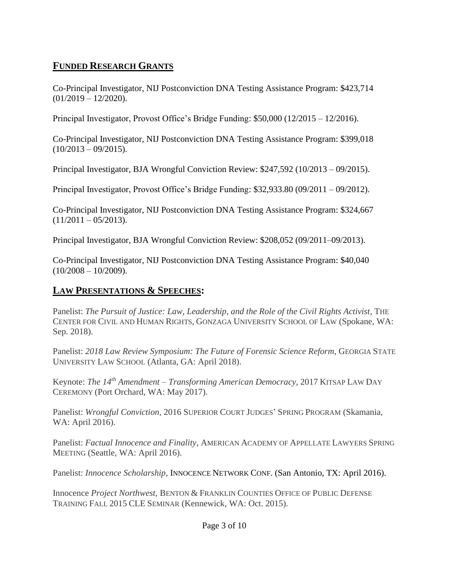### **FUNDED RESEARCH GRANTS**

Co-Principal Investigator, NIJ Postconviction DNA Testing Assistance Program: \$423,714  $(01/2019 - 12/2020)$ .

Principal Investigator, Provost Office's Bridge Funding: \$50,000 (12/2015 – 12/2016).

Co-Principal Investigator, NIJ Postconviction DNA Testing Assistance Program: \$399,018  $(10/2013 - 09/2015).$ 

Principal Investigator, BJA Wrongful Conviction Review: \$247,592 (10/2013 – 09/2015).

Principal Investigator, Provost Office's Bridge Funding: \$32,933.80 (09/2011 – 09/2012).

Co-Principal Investigator, NIJ Postconviction DNA Testing Assistance Program: \$324,667  $(11/2011 - 05/2013).$ 

Principal Investigator, BJA Wrongful Conviction Review: \$208,052 (09/2011–09/2013).

Co-Principal Investigator, NIJ Postconviction DNA Testing Assistance Program: \$40,040  $(10/2008 - 10/2009)$ .

### **LAW PRESENTATIONS & SPEECHES:**

Panelist: *The Pursuit of Justice: Law, Leadership, and the Role of the Civil Rights Activist*, THE CENTER FOR CIVIL AND HUMAN RIGHTS, GONZAGA UNIVERSITY SCHOOL OF LAW (Spokane, WA: Sep. 2018).

Panelist: *2018 Law Review Symposium: The Future of Forensic Science Reform*, GEORGIA STATE UNIVERSITY LAW SCHOOL (Atlanta, GA: April 2018).

Keynote: *The 14th Amendment – Transforming American Democracy,* 2017 KITSAP LAW DAY CEREMONY (Port Orchard, WA: May 2017).

Panelist: *Wrongful Conviction*, 2016 SUPERIOR COURT JUDGES' SPRING PROGRAM (Skamania, WA: April 2016).

Panelist: *Factual Innocence and Finality*, AMERICAN ACADEMY OF APPELLATE LAWYERS SPRING MEETING (Seattle, WA: April 2016).

Panelist: *Innocence Scholarship*, INNOCENCE NETWORK CONF. (San Antonio, TX: April 2016).

Innocence *Project Northwest,* BENTON & FRANKLIN COUNTIES OFFICE OF PUBLIC DEFENSE TRAINING FALL 2015 CLE SEMINAR (Kennewick, WA: Oct. 2015).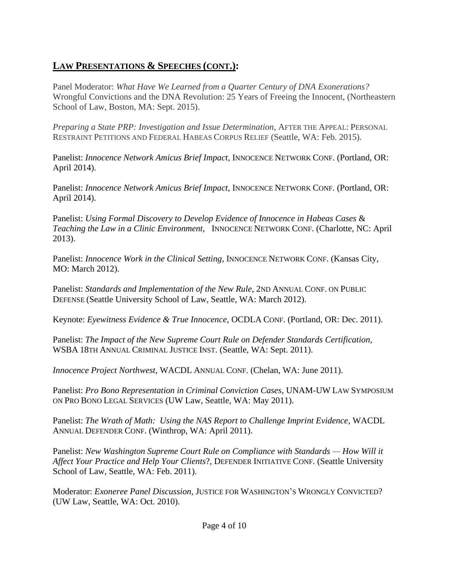Panel Moderator: *What Have We Learned from a Quarter Century of DNA Exonerations?*  Wrongful Convictions and the DNA Revolution: 25 Years of Freeing the Innocent, (Northeastern School of Law, Boston, MA: Sept. 2015).

*Preparing a State PRP: Investigation and Issue Determination*, AFTER THE APPEAL: PERSONAL RESTRAINT PETITIONS AND FEDERAL HABEAS CORPUS RELIEF (Seattle, WA: Feb. 2015).

Panelist: *Innocence Network Amicus Brief Impact*, INNOCENCE NETWORK CONF. (Portland, OR: April 2014).

Panelist: *Innocence Network Amicus Brief Impact*, INNOCENCE NETWORK CONF. (Portland, OR: April 2014).

Panelist: *Using Formal Discovery to Develop Evidence of Innocence in Habeas Cases* & *Teaching the Law in a Clinic Environment*, INNOCENCE NETWORK CONF. (Charlotte, NC: April 2013).

Panelist: *Innocence Work in the Clinical Setting*, INNOCENCE NETWORK CONF. (Kansas City, MO: March 2012).

Panelist: *Standards and Implementation of the New Rule*, 2ND ANNUAL CONF. ON PUBLIC DEFENSE (Seattle University School of Law, Seattle, WA: March 2012).

Keynote: *Eyewitness Evidence & True Innocence*, OCDLA CONF. (Portland, OR: Dec. 2011).

Panelist: *The Impact of the New Supreme Court Rule on Defender Standards Certification*, WSBA 18TH ANNUAL CRIMINAL JUSTICE INST. (Seattle, WA: Sept. 2011).

*Innocence Project Northwest*, WACDL ANNUAL CONF. (Chelan, WA: June 2011).

Panelist: *Pro Bono Representation in Criminal Conviction Cases*, UNAM-UW LAW SYMPOSIUM ON PRO BONO LEGAL SERVICES (UW Law, Seattle, WA: May 2011).

Panelist: *The Wrath of Math: Using the NAS Report to Challenge Imprint Evidence*, WACDL ANNUAL DEFENDER CONF. (Winthrop, WA: April 2011).

Panelist: *New Washington Supreme Court Rule on Compliance with Standards — How Will it Affect Your Practice and Help Your Clients*?, DEFENDER INITIATIVE CONF. (Seattle University School of Law, Seattle, WA: Feb. 2011).

Moderator: *Exoneree Panel Discussion*, JUSTICE FOR WASHINGTON'S WRONGLY CONVICTED? (UW Law, Seattle, WA: Oct. 2010).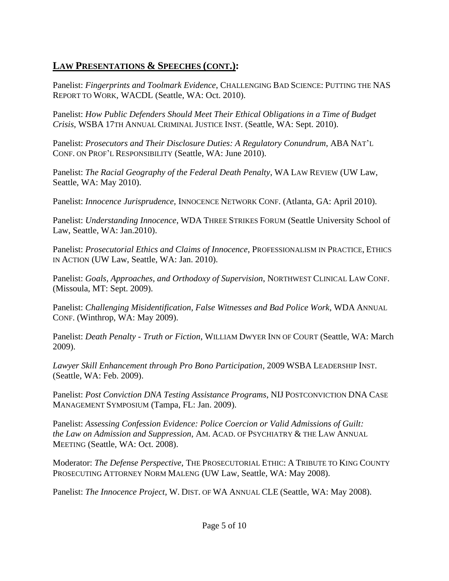Panelist: *Fingerprints and Toolmark Evidence*, CHALLENGING BAD SCIENCE: PUTTING THE NAS REPORT TO WORK, WACDL (Seattle, WA: Oct. 2010).

Panelist: *How Public Defenders Should Meet Their Ethical Obligations in a Time of Budget Crisis*, WSBA 17TH ANNUAL CRIMINAL JUSTICE INST. (Seattle, WA: Sept. 2010).

Panelist: *Prosecutors and Their Disclosure Duties: A Regulatory Conundrum*, ABA NAT'L CONF. ON PROF'L RESPONSIBILITY (Seattle, WA: June 2010).

Panelist: *The Racial Geography of the Federal Death Penalty*, WA LAW REVIEW (UW Law, Seattle, WA: May 2010).

Panelist: *Innocence Jurisprudence*, INNOCENCE NETWORK CONF. (Atlanta, GA: April 2010).

Panelist: *Understanding Innocence*, WDA THREE STRIKES FORUM (Seattle University School of Law, Seattle, WA: Jan.2010).

Panelist: *Prosecutorial Ethics and Claims of Innocence*, PROFESSIONALISM IN PRACTICE, ETHICS IN ACTION (UW Law, Seattle, WA: Jan. 2010).

Panelist: *Goals, Approaches, and Orthodoxy of Supervision*, NORTHWEST CLINICAL LAW CONF. (Missoula, MT: Sept. 2009).

Panelist: *Challenging Misidentification, False Witnesses and Bad Police Work*, WDA ANNUAL CONF. (Winthrop, WA: May 2009).

Panelist: *Death Penalty - Truth or Fiction*, WILLIAM DWYER INN OF COURT (Seattle, WA: March 2009).

*Lawyer Skill Enhancement through Pro Bono Participation*, 2009 WSBA LEADERSHIP INST. (Seattle, WA: Feb. 2009).

Panelist: *Post Conviction DNA Testing Assistance Programs*, NIJ POSTCONVICTION DNA CASE MANAGEMENT SYMPOSIUM (Tampa, FL: Jan. 2009).

Panelist: *Assessing Confession Evidence: Police Coercion or Valid Admissions of Guilt: the Law on Admission and Suppression*, AM. ACAD. OF PSYCHIATRY & THE LAW ANNUAL MEETING (Seattle, WA: Oct. 2008).

Moderator: *The Defense Perspective*, THE PROSECUTORIAL ETHIC: A TRIBUTE TO KING COUNTY PROSECUTING ATTORNEY NORM MALENG (UW Law, Seattle, WA: May 2008).

Panelist: *The Innocence Project*, W. DIST. OF WA ANNUAL CLE (Seattle, WA: May 2008).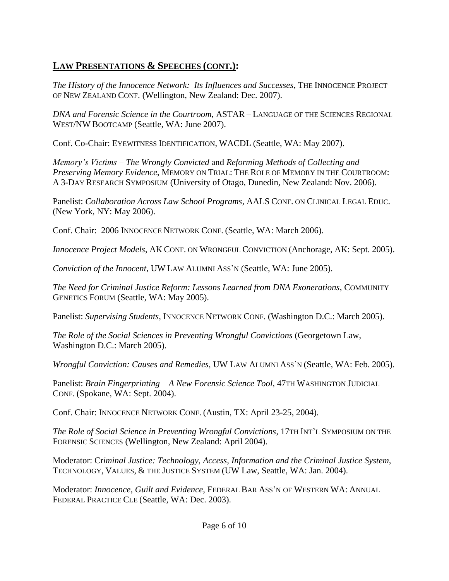*The History of the Innocence Network: Its Influences and Successes*, THE INNOCENCE PROJECT OF NEW ZEALAND CONF. (Wellington, New Zealand: Dec. 2007).

*DNA and Forensic Science in the Courtroom*, ASTAR – LANGUAGE OF THE SCIENCES REGIONAL WEST/NW BOOTCAMP (Seattle, WA: June 2007).

Conf. Co-Chair: EYEWITNESS IDENTIFICATION, WACDL (Seattle, WA: May 2007).

*Memory's Victims – The Wrongly Convicted* and *Reforming Methods of Collecting and Preserving Memory Evidence*, MEMORY ON TRIAL: THE ROLE OF MEMORY IN THE COURTROOM: A 3-DAY RESEARCH SYMPOSIUM (University of Otago, Dunedin, New Zealand: Nov. 2006).

Panelist: *Collaboration Across Law School Programs*, AALS CONF. ON CLINICAL LEGAL EDUC. (New York, NY: May 2006).

Conf. Chair: 2006 INNOCENCE NETWORK CONF. (Seattle, WA: March 2006).

*Innocence Project Models*, AK CONF. ON WRONGFUL CONVICTION (Anchorage, AK: Sept. 2005).

*Conviction of the Innocent*, UW LAW ALUMNI ASS'N (Seattle, WA: June 2005).

*The Need for Criminal Justice Reform: Lessons Learned from DNA Exonerations*, COMMUNITY GENETICS FORUM (Seattle, WA: May 2005).

Panelist: *Supervising Students*, INNOCENCE NETWORK CONF. (Washington D.C.: March 2005).

*The Role of the Social Sciences in Preventing Wrongful Convictions* (Georgetown Law, Washington D.C.: March 2005).

*Wrongful Conviction: Causes and Remedies*, UW LAW ALUMNI ASS'N (Seattle, WA: Feb. 2005).

Panelist: *Brain Fingerprinting – A New Forensic Science Tool*, 47TH WASHINGTON JUDICIAL CONF. (Spokane, WA: Sept. 2004).

Conf. Chair: INNOCENCE NETWORK CONF. (Austin, TX: April 23-25, 2004).

*The Role of Social Science in Preventing Wrongful Convictions*, 17TH INT'L SYMPOSIUM ON THE FORENSIC SCIENCES (Wellington, New Zealand: April 2004).

Moderator: Cr*iminal Justice: Technology, Access, Information and the Criminal Justice System*, TECHNOLOGY, VALUES, & THE JUSTICE SYSTEM (UW Law, Seattle, WA: Jan. 2004).

Moderator: *Innocence, Guilt and Evidence*, FEDERAL BAR ASS'N OF WESTERN WA: ANNUAL FEDERAL PRACTICE CLE (Seattle, WA: Dec. 2003).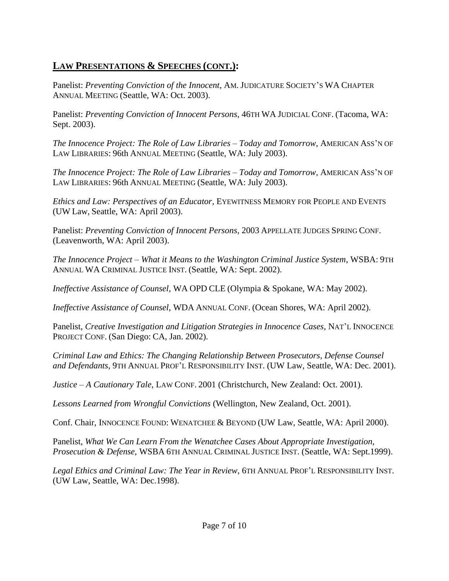Panelist: *Preventing Conviction of the Innocent*, AM. JUDICATURE SOCIETY'S WA CHAPTER ANNUAL MEETING (Seattle, WA: Oct. 2003).

Panelist: *Preventing Conviction of Innocent Persons*, 46TH WA JUDICIAL CONF. (Tacoma, WA: Sept. 2003).

*The Innocence Project: The Role of Law Libraries – Today and Tomorrow*, AMERICAN ASS'N OF LAW LIBRARIES: 96th ANNUAL MEETING (Seattle, WA: July 2003).

*The Innocence Project: The Role of Law Libraries – Today and Tomorrow*, AMERICAN ASS'N OF LAW LIBRARIES: 96th ANNUAL MEETING (Seattle, WA: July 2003).

*Ethics and Law: Perspectives of an Educator*, EYEWITNESS MEMORY FOR PEOPLE AND EVENTS (UW Law, Seattle, WA: April 2003).

Panelist: *Preventing Conviction of Innocent Persons*, 2003 APPELLATE JUDGES SPRING CONF. (Leavenworth, WA: April 2003).

*The Innocence Project – What it Means to the Washington Criminal Justice System*, WSBA: 9TH ANNUAL WA CRIMINAL JUSTICE INST. (Seattle, WA: Sept. 2002).

*Ineffective Assistance of Counsel*, WA OPD CLE (Olympia & Spokane, WA: May 2002).

*Ineffective Assistance of Counsel*, WDA ANNUAL CONF. (Ocean Shores, WA: April 2002).

Panelist, *Creative Investigation and Litigation Strategies in Innocence Cases*, NAT'L INNOCENCE PROJECT CONF. (San Diego: CA, Jan. 2002).

*Criminal Law and Ethics: The Changing Relationship Between Prosecutors, Defense Counsel and Defendants*, 9TH ANNUAL PROF'L RESPONSIBILITY INST. (UW Law, Seattle, WA: Dec. 2001).

*Justice – A Cautionary Tale*, LAW CONF. 2001 (Christchurch, New Zealand: Oct. 2001).

*Lessons Learned from Wrongful Convictions* (Wellington, New Zealand, Oct. 2001).

Conf. Chair, INNOCENCE FOUND: WENATCHEE & BEYOND (UW Law, Seattle, WA: April 2000).

Panelist, *What We Can Learn From the Wenatchee Cases About Appropriate Investigation, Prosecution & Defense*, WSBA 6TH ANNUAL CRIMINAL JUSTICE INST. (Seattle, WA: Sept.1999).

*Legal Ethics and Criminal Law: The Year in Review*, 6TH ANNUAL PROF'L RESPONSIBILITY INST. (UW Law, Seattle, WA: Dec.1998).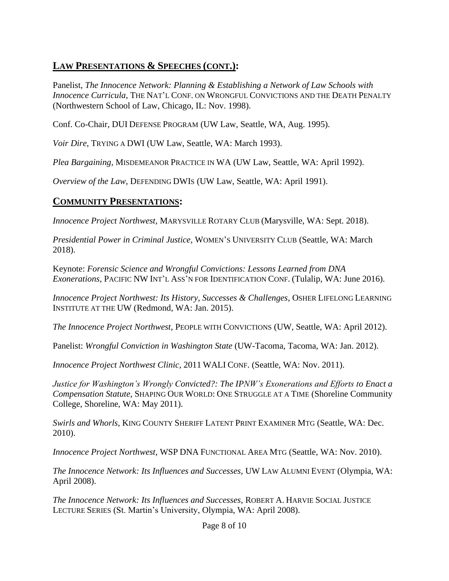Panelist, *The Innocence Network: Planning & Establishing a Network of Law Schools with Innocence Curricula*, THE NAT'L CONF. ON WRONGFUL CONVICTIONS AND THE DEATH PENALTY (Northwestern School of Law, Chicago, IL: Nov. 1998).

Conf. Co-Chair, DUI DEFENSE PROGRAM (UW Law, Seattle, WA, Aug. 1995).

*Voir Dire*, TRYING A DWI (UW Law, Seattle, WA: March 1993).

*Plea Bargaining,* MISDEMEANOR PRACTICE IN WA (UW Law, Seattle, WA: April 1992).

*Overview of the Law*, DEFENDING DWIS (UW Law, Seattle, WA: April 1991).

#### **COMMUNITY PRESENTATIONS:**

*Innocence Project Northwest*, MARYSVILLE ROTARY CLUB (Marysville, WA: Sept. 2018).

*Presidential Power in Criminal Justice*, WOMEN'S UNIVERSITY CLUB (Seattle, WA: March 2018).

Keynote: *Forensic Science and Wrongful Convictions: Lessons Learned from DNA Exonerations,* PACIFIC NW INT'L ASS'N FOR IDENTIFICATION CONF. (Tulalip, WA: June 2016).

*Innocence Project Northwest: Its History, Successes & Challenges*, OSHER LIFELONG LEARNING INSTITUTE AT THE UW (Redmond, WA: Jan. 2015).

*The Innocence Project Northwest*, PEOPLE WITH CONVICTIONS (UW, Seattle, WA: April 2012).

Panelist: *Wrongful Conviction in Washington State* (UW-Tacoma, Tacoma, WA: Jan. 2012).

*Innocence Project Northwest Clinic*, 2011 WALI CONF. (Seattle, WA: Nov. 2011).

*Justice for Washington's Wrongly Convicted?: The IPNW's Exonerations and Efforts to Enact a Compensation Statute*, SHAPING OUR WORLD: ONE STRUGGLE AT A TIME (Shoreline Community College, Shoreline, WA: May 2011).

*Swirls and Whorls*, KING COUNTY SHERIFF LATENT PRINT EXAMINER MTG (Seattle, WA: Dec. 2010).

*Innocence Project Northwest*, WSP DNA FUNCTIONAL AREA MTG (Seattle, WA: Nov. 2010).

*The Innocence Network: Its Influences and Successes*, UW LAW ALUMNI EVENT (Olympia, WA: April 2008).

*The Innocence Network: Its Influences and Successes*, ROBERT A. HARVIE SOCIAL JUSTICE LECTURE SERIES (St. Martin's University, Olympia, WA: April 2008).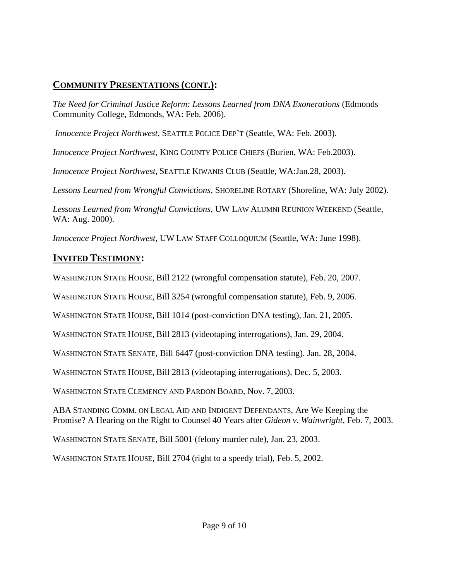### **COMMUNITY PRESENTATIONS (CONT.):**

*The Need for Criminal Justice Reform: Lessons Learned from DNA Exonerations* (Edmonds Community College, Edmonds, WA: Feb. 2006).

*Innocence Project Northwest*, SEATTLE POLICE DEP'T (Seattle, WA: Feb. 2003).

*Innocence Project Northwest*, KING COUNTY POLICE CHIEFS (Burien, WA: Feb.2003).

*Innocence Project Northwest*, SEATTLE KIWANIS CLUB (Seattle, WA:Jan.28, 2003).

*Lessons Learned from Wrongful Convictions*, SHORELINE ROTARY (Shoreline, WA: July 2002).

*Lessons Learned from Wrongful Convictions*, UW LAW ALUMNI REUNION WEEKEND (Seattle, WA: Aug. 2000).

*Innocence Project Northwest*, UW LAW STAFF COLLOQUIUM (Seattle, WA: June 1998).

# **INVITED TESTIMONY:**

WASHINGTON STATE HOUSE, Bill 2122 (wrongful compensation statute), Feb. 20, 2007.

WASHINGTON STATE HOUSE, Bill 3254 (wrongful compensation statute), Feb. 9, 2006.

WASHINGTON STATE HOUSE, Bill 1014 (post-conviction DNA testing), Jan. 21, 2005.

WASHINGTON STATE HOUSE, Bill 2813 (videotaping interrogations), Jan. 29, 2004.

WASHINGTON STATE SENATE, Bill 6447 (post-conviction DNA testing). Jan. 28, 2004.

WASHINGTON STATE HOUSE, Bill 2813 (videotaping interrogations), Dec. 5, 2003.

WASHINGTON STATE CLEMENCY AND PARDON BOARD, Nov. 7, 2003.

ABA STANDING COMM. ON LEGAL AID AND INDIGENT DEFENDANTS, Are We Keeping the Promise? A Hearing on the Right to Counsel 40 Years after *Gideon v. Wainwright*, Feb. 7, 2003.

WASHINGTON STATE SENATE, Bill 5001 (felony murder rule), Jan. 23, 2003.

WASHINGTON STATE HOUSE, Bill 2704 (right to a speedy trial), Feb. 5, 2002.